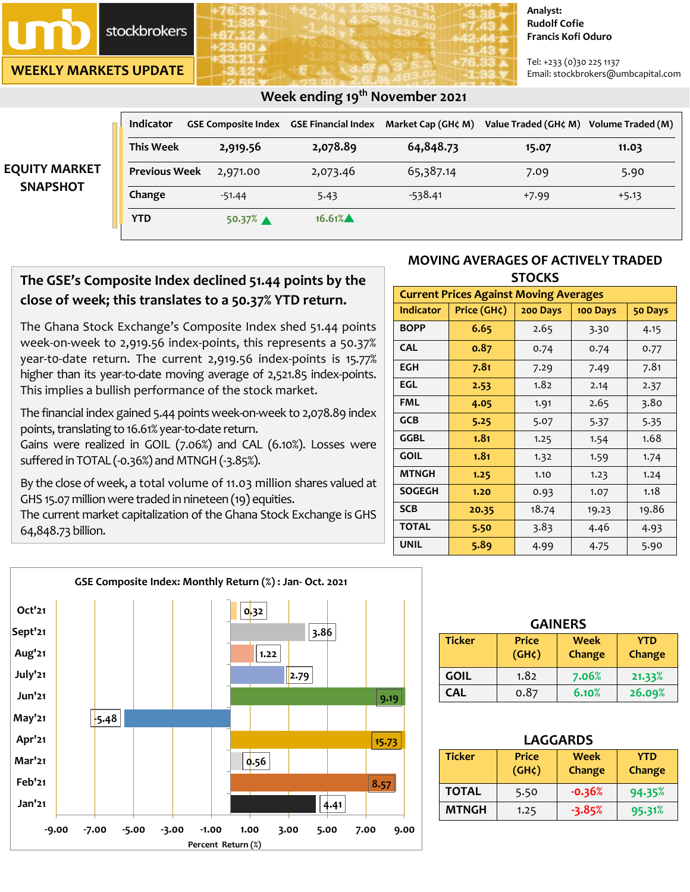

**WEEKLY MARKETS UPDATE**

#### **Analyst: Rudolf Cofie Francis Kofi Oduro**

Tel: +233 (0)30 225 1137 Email: stockbrokers@umbcapital.com

|                                         | <b>Indicator</b>     |          | <b>GSE Composite Index GSE Financial Index</b> | Market Cap (GH¢ M) | Value Traded (GH¢ M) | Volume Traded (M) |
|-----------------------------------------|----------------------|----------|------------------------------------------------|--------------------|----------------------|-------------------|
| <b>EQUITY MARKET</b><br><b>SNAPSHOT</b> | <b>This Week</b>     | 2,919.56 | 2,078.89                                       | 64,848.73          | 15.07                | 11.03             |
|                                         | <b>Previous Week</b> | 2,971.00 | 2,073.46                                       | 65,387.14          | 7.09                 | 5.90              |
|                                         | Change               | $-51.44$ | 5.43                                           | $-538.41$          | $+7.99$              | $+5.13$           |
|                                         | <b>YTD</b>           | 50.37%   | 16.61%                                         |                    |                      |                   |

# **The GSE's Composite Index declined 51.44 points by the close of week; this translates to a 50.37% YTD return.**

 **Week ending 19 th November 2021** 

The Ghana Stock Exchange's Composite Index shed 51.44 points week-on-week to 2,919.56 index-points, this represents a 50.37% year-t0-date return. The current 2,919.56 index-points is 15.77% higher than its year-to-date moving average of 2,521.85 index-points. This implies a bullish performance of the stock market.

The financial index gained 5.44 points week-on-week to 2,078.89 index points, translating to 16.61% year-to-date return.

Gains were realized in GOIL (7.06%) and CAL (6.10%). Losses were suffered in TOTAL (-0.36%) and MTNGH (-3.85%).

By the close of week, a total volume of 11.03 million shares valued at GHS 15.07 million were traded in nineteen (19) equities.

The current market capitalization of the Ghana Stock Exchange is GHS 64,848.73 billion.

#### **MOVING AVERAGES OF ACTIVELY TRADED STOCKS**

| <b>Current Prices Against Moving Averages</b> |             |          |          |         |  |  |
|-----------------------------------------------|-------------|----------|----------|---------|--|--|
| <b>Indicator</b>                              | Price (GH¢) | 200 Days | 100 Days | 50 Days |  |  |
| <b>BOPP</b>                                   | 6.65        | 2.65     | 3.30     | 4.15    |  |  |
| <b>CAL</b>                                    | 0.87        | 0.74     | 0.74     | 0.77    |  |  |
| <b>EGH</b>                                    | 7.81        | 7.29     | 7.49     | 7.81    |  |  |
| EGL                                           | 2.53        | 1.82     | 2.14     | 2.37    |  |  |
| <b>FML</b>                                    | 4.05        | 1.91     | 2.65     | 3.80    |  |  |
| <b>GCB</b>                                    | 5.25        | 5.07     | 5.37     | 5.35    |  |  |
| GGBL                                          | 1.81        | 1.25     | 1.54     | 1.68    |  |  |
| <b>GOIL</b>                                   | 1.81        | 1.32     | 1.59     | 1.74    |  |  |
| <b>MTNGH</b>                                  | 1.25        | 1.10     | 1.23     | 1.24    |  |  |
| <b>SOGEGH</b>                                 | 1.20        | 0.93     | 1.07     | 1.18    |  |  |
| <b>SCB</b>                                    | 20.35       | 18.74    | 19.23    | 19.86   |  |  |
| <b>TOTAL</b>                                  | 5.50        | 3.83     | 4.46     | 4.93    |  |  |
| <b>UNIL</b>                                   | 5.89        | 4.99     | 4.75     | 5.90    |  |  |



| <b>GAINERS</b> |                                    |                       |                      |  |
|----------------|------------------------------------|-----------------------|----------------------|--|
| <b>Ticker</b>  | <b>Price</b><br>(GH <sub>c</sub> ) | <b>Week</b><br>Change | <b>YTD</b><br>Change |  |
| <b>GOIL</b>    | 1.82                               | 7.06%                 | 21.33%               |  |
| <b>CAL</b>     | 0.87                               | 6.10%                 | 26.09%               |  |

| <b>LAGGARDS</b> |                                    |                |                      |  |  |
|-----------------|------------------------------------|----------------|----------------------|--|--|
| <b>Ticker</b>   | <b>Price</b><br>(GH <sub>c</sub> ) | Week<br>Change | <b>YTD</b><br>Change |  |  |
| <b>TOTAL</b>    | 5.50                               | $-0.36%$       | 94.35%               |  |  |
| <b>MTNGH</b>    | 1.25                               | $-3.85%$       | 95.31%               |  |  |